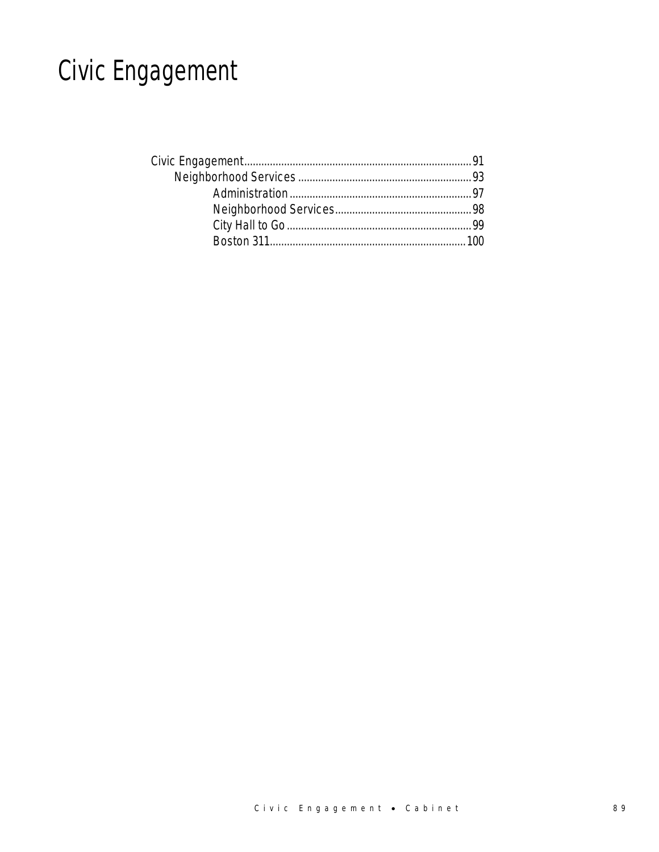## Civic Engagement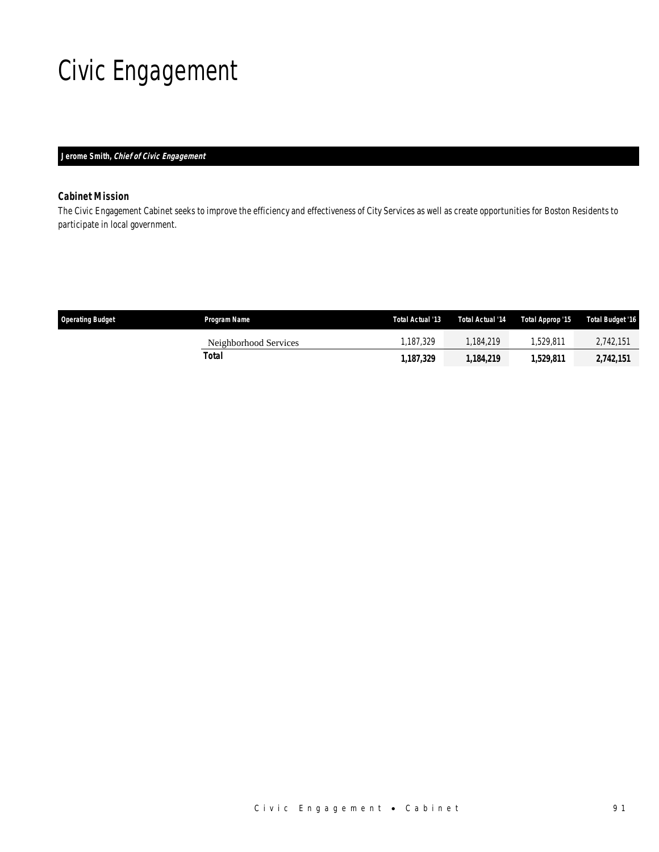## Civic Engagement

### *Jerome Smith, Chief of Civic Engagement*

### *Cabinet Mission*

The Civic Engagement Cabinet seeks to improve the efficiency and effectiveness of City Services as well as create opportunities for Boston Residents to participate in local government.

| <b>Operating Budget</b> | Program Name          | Total Actual '13 | Total Actual '14 | Total Approp '15 | Total Budget '16 |
|-------------------------|-----------------------|------------------|------------------|------------------|------------------|
|                         | Neighborhood Services | .187.329         | .184.219         | .529.811         | 2,742,151        |
|                         | Total                 | 1.187.329        | 1.184.219        | 1.529.811        | 2,742,151        |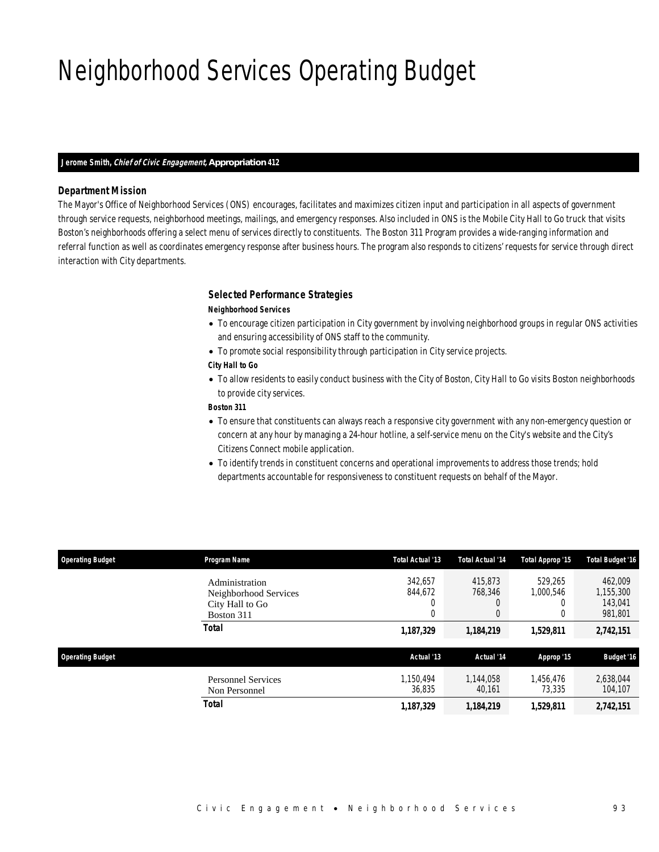## Neighborhood Services Operating Budget

#### *Jerome Smith, Chief of Civic Engagement, Appropriation 412*

#### *Department Mission*

The Mayor's Office of Neighborhood Services (ONS) encourages, facilitates and maximizes citizen input and participation in all aspects of government through service requests, neighborhood meetings, mailings, and emergency responses. Also included in ONS is the Mobile City Hall to Go truck that visits Boston's neighborhoods offering a select menu of services directly to constituents. The Boston 311 Program provides a wide-ranging information and referral function as well as coordinates emergency response after business hours. The program also responds to citizens' requests for service through direct interaction with City departments.

#### *Selected Performance Strategies*

#### *Neighborhood Services*

- To encourage citizen participation in City government by involving neighborhood groups in regular ONS activities and ensuring accessibility of ONS staff to the community.
- To promote social responsibility through participation in City service projects.

#### *City Hall to Go*

• To allow residents to easily conduct business with the City of Boston, City Hall to Go visits Boston neighborhoods to provide city services.

#### *Boston 311*

- To ensure that constituents can always reach a responsive city government with any non-emergency question or concern at any hour by managing a 24-hour hotline, a self-service menu on the City's website and the City's Citizens Connect mobile application.
- To identify trends in constituent concerns and operational improvements to address those trends; hold departments accountable for responsiveness to constituent requests on behalf of the Mayor.

| <b>Operating Budget</b> | Program Name                                                             | Total Actual '13             | <b>Total Actual '14</b>      | Total Approp '15     | <b>Total Budget '16</b>                    |
|-------------------------|--------------------------------------------------------------------------|------------------------------|------------------------------|----------------------|--------------------------------------------|
|                         | Administration<br>Neighborhood Services<br>City Hall to Go<br>Boston 311 | 342,657<br>844,672<br>U<br>0 | 415,873<br>768.346<br>0<br>0 | 529.265<br>1.000.546 | 462,009<br>1,155,300<br>143.041<br>981,801 |
|                         | <b>Total</b>                                                             | 1,187,329                    | 1,184,219                    | 1,529,811            | 2,742,151                                  |
| <b>Operating Budget</b> |                                                                          | Actual '13                   | Actual '14                   | Approp '15           | <b>Budget '16</b>                          |
|                         | <b>Personnel Services</b><br>Non Personnel                               | 1,150,494<br>36.835          | 1.144.058<br>40,161          | 1,456,476<br>73.335  | 2,638,044<br>104,107                       |
|                         | Total                                                                    | 1,187,329                    | 1,184,219                    | 1,529,811            | 2,742,151                                  |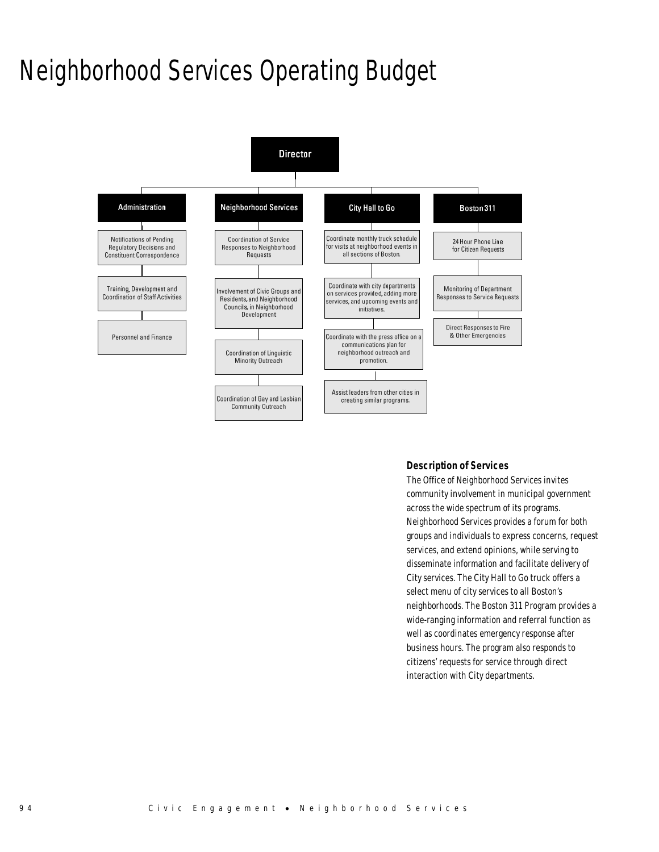## Neighborhood Services Operating Budget



#### *Description of Services*

The Office of Neighborhood Services invites community involvement in municipal government across the wide spectrum of its programs. Neighborhood Services provides a forum for both groups and individuals to express concerns, request services, and extend opinions, while serving to disseminate information and facilitate delivery of City services. The City Hall to Go truck offers a select menu of city services to all Boston's neighborhoods. The Boston 311 Program provides a wide-ranging information and referral function as well as coordinates emergency response after business hours. The program also responds to citizens' requests for service through direct interaction with City departments.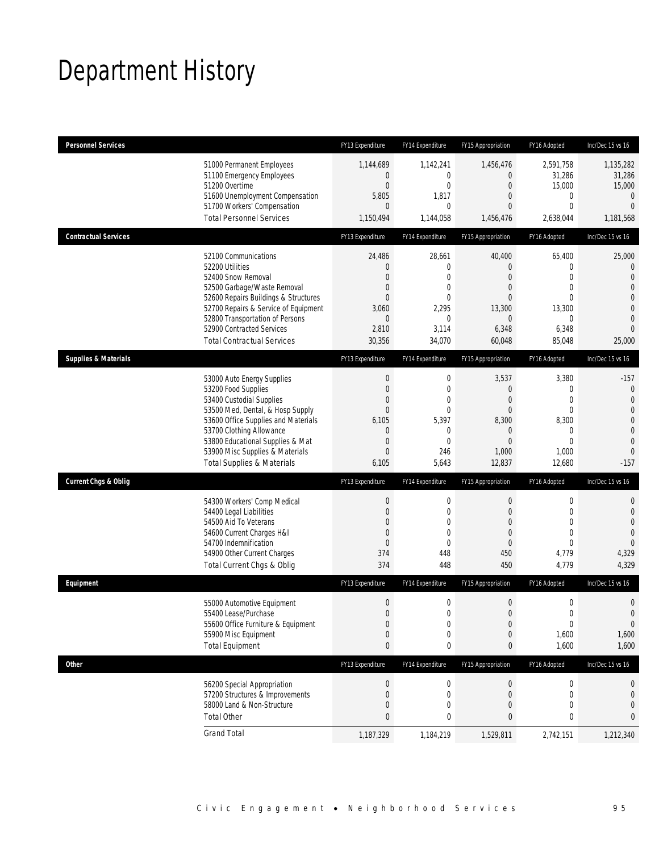## Department History

| <b>Personnel Services</b>       |                                                                                                                                                                                                                                                                                                      | FY13 Expenditure                                                                                                  | FY14 Expenditure                                                                                                       | FY15 Appropriation                                                                                              | FY16 Adopted                                                                                           | Inc/Dec 15 vs 16                                                                                                                       |
|---------------------------------|------------------------------------------------------------------------------------------------------------------------------------------------------------------------------------------------------------------------------------------------------------------------------------------------------|-------------------------------------------------------------------------------------------------------------------|------------------------------------------------------------------------------------------------------------------------|-----------------------------------------------------------------------------------------------------------------|--------------------------------------------------------------------------------------------------------|----------------------------------------------------------------------------------------------------------------------------------------|
|                                 | 51000 Permanent Employees<br>51100 Emergency Employees<br>51200 Overtime<br>51600 Unemployment Compensation<br>51700 Workers' Compensation<br><b>Total Personnel Services</b>                                                                                                                        | 1,144,689<br>0<br>$\boldsymbol{0}$<br>5,805<br>$\mathbf{0}$<br>1,150,494                                          | 1,142,241<br>0<br>0<br>1,817<br>$\mathbf 0$<br>1,144,058                                                               | 1,456,476<br>$\mathbf{0}$<br>$\mathbf 0$<br>$\overline{0}$<br>$\theta$<br>1,456,476                             | 2,591,758<br>31,286<br>15,000<br>0<br>$\mathbf 0$<br>2,638,044                                         | 1,135,282<br>31,286<br>15,000<br>$\mathbf 0$<br>$\overline{0}$<br>1,181,568                                                            |
| <b>Contractual Services</b>     |                                                                                                                                                                                                                                                                                                      | FY13 Expenditure                                                                                                  | FY14 Expenditure                                                                                                       | FY15 Appropriation                                                                                              | FY16 Adopted                                                                                           | Inc/Dec 15 vs 16                                                                                                                       |
|                                 | 52100 Communications<br>52200 Utilities<br>52400 Snow Removal<br>52500 Garbage/Waste Removal<br>52600 Repairs Buildings & Structures<br>52700 Repairs & Service of Equipment<br>52800 Transportation of Persons<br>52900 Contracted Services<br><b>Total Contractual Services</b>                    | 24,486<br>0<br>0<br>0<br>$\mathbf{0}$<br>3,060<br>0<br>2,810<br>30,356                                            | 28,661<br>$\mathbf 0$<br>$\overline{0}$<br>0<br>$\overline{0}$<br>2,295<br>$\mathbf{0}$<br>3,114<br>34,070             | 40,400<br>$\theta$<br>$\overline{0}$<br>$\theta$<br>$\overline{0}$<br>13,300<br>$\mathbf{0}$<br>6,348<br>60,048 | 65,400<br>0<br>$\mathbf{0}$<br>$\mathbf{0}$<br>$\mathbf{0}$<br>13,300<br>0<br>6,348<br>85,048          | 25,000<br>$\mathbf 0$<br>$\overline{0}$<br>$\overline{0}$<br>$\mathbf 0$<br>$\overline{0}$<br>$\mathbf 0$<br>$\Omega$<br>25,000        |
| <b>Supplies &amp; Materials</b> |                                                                                                                                                                                                                                                                                                      | FY13 Expenditure                                                                                                  | FY14 Expenditure                                                                                                       | FY15 Appropriation                                                                                              | FY16 Adopted                                                                                           | Inc/Dec 15 vs 16                                                                                                                       |
|                                 | 53000 Auto Energy Supplies<br>53200 Food Supplies<br>53400 Custodial Supplies<br>53500 Med, Dental, & Hosp Supply<br>53600 Office Supplies and Materials<br>53700 Clothing Allowance<br>53800 Educational Supplies & Mat<br>53900 Misc Supplies & Materials<br><b>Total Supplies &amp; Materials</b> | $\boldsymbol{0}$<br>$\boldsymbol{0}$<br>0<br>$\theta$<br>6,105<br>$\mathbf 0$<br>$\mathbf 0$<br>$\theta$<br>6,105 | $\mathbf 0$<br>$\mathbf 0$<br>$\overline{0}$<br>$\overline{0}$<br>5,397<br>$\mathbf{0}$<br>$\mathbf 0$<br>246<br>5,643 | 3,537<br>$\mathbf{0}$<br>$\mathbf{0}$<br>$\theta$<br>8,300<br>$\theta$<br>$\overline{0}$<br>1,000<br>12,837     | 3,380<br>0<br>$\mathbf{0}$<br>$\mathbf{0}$<br>8,300<br>$\mathbf{0}$<br>$\mathbf{0}$<br>1,000<br>12,680 | $-157$<br>$\mathbf 0$<br>$\overline{0}$<br>$\overline{0}$<br>$\mathbf 0$<br>$\overline{0}$<br>$\mathbf{0}$<br>$\overline{0}$<br>$-157$ |
| <b>Current Chgs &amp; Oblig</b> |                                                                                                                                                                                                                                                                                                      | FY13 Expenditure                                                                                                  | FY14 Expenditure                                                                                                       | FY15 Appropriation                                                                                              | FY16 Adopted                                                                                           | Inc/Dec 15 vs 16                                                                                                                       |
|                                 | 54300 Workers' Comp Medical<br>54400 Legal Liabilities<br>54500 Aid To Veterans<br>54600 Current Charges H&I<br>54700 Indemnification<br>54900 Other Current Charges<br>Total Current Chgs & Oblig                                                                                                   | $\boldsymbol{0}$<br>0<br>$\mathbf{0}$<br>0<br>$\boldsymbol{0}$<br>374<br>374                                      | $\mathbf 0$<br>0<br>$\overline{0}$<br>0<br>$\overline{0}$<br>448<br>448                                                | $\mathbf{0}$<br>$\theta$<br>$\overline{0}$<br>$\theta$<br>$\overline{0}$<br>450<br>450                          | $\boldsymbol{0}$<br>$\mathbf 0$<br>$\mathbf{0}$<br>$\mathbf{0}$<br>$\mathbf{0}$<br>4,779<br>4,779      | $\mathbf 0$<br>$\mathbf 0$<br>$\overline{0}$<br>$\mathbf{0}$<br>$\Omega$<br>4,329<br>4,329                                             |
| Equipment                       |                                                                                                                                                                                                                                                                                                      | FY13 Expenditure                                                                                                  | FY14 Expenditure                                                                                                       | FY15 Appropriation                                                                                              | FY16 Adopted                                                                                           | Inc/Dec 15 vs 16                                                                                                                       |
|                                 | 55000 Automotive Equipment<br>55400 Lease/Purchase<br>55600 Office Furniture & Equipment<br>55900 Misc Equipment<br><b>Total Equipment</b>                                                                                                                                                           | $\boldsymbol{0}$<br>$\Omega$<br>$\boldsymbol{0}$<br>$\boldsymbol{0}$<br>$\pmb{0}$                                 | $\mathbf 0$<br>$\theta$<br>$\mathbf 0$<br>$\boldsymbol{0}$<br>0                                                        | $\boldsymbol{0}$<br>$\Omega$<br>$\boldsymbol{0}$<br>$\mathbf 0$<br>0                                            | $\boldsymbol{0}$<br>$\Omega$<br>$\boldsymbol{0}$<br>1,600<br>1,600                                     | $\mathbf 0$<br>$\mathbf 0$<br>$\boldsymbol{0}$<br>1,600<br>1,600                                                                       |
| <b>Other</b>                    |                                                                                                                                                                                                                                                                                                      | FY13 Expenditure                                                                                                  | FY14 Expenditure                                                                                                       | FY15 Appropriation                                                                                              | FY16 Adopted                                                                                           | Inc/Dec 15 vs 16                                                                                                                       |
|                                 | 56200 Special Appropriation<br>57200 Structures & Improvements<br>58000 Land & Non-Structure<br><b>Total Other</b>                                                                                                                                                                                   | $\boldsymbol{0}$<br>$\boldsymbol{0}$<br>0<br>$\pmb{0}$                                                            | $\boldsymbol{0}$<br>$\mathbf 0$<br>0<br>0                                                                              | $\boldsymbol{0}$<br>$\boldsymbol{0}$<br>$\mathbf 0$<br>0                                                        | 0<br>0<br>0<br>0                                                                                       | 0<br>$\mathbf 0$<br>0<br>0                                                                                                             |
|                                 | <b>Grand Total</b>                                                                                                                                                                                                                                                                                   | 1,187,329                                                                                                         | 1,184,219                                                                                                              | 1,529,811                                                                                                       | 2,742,151                                                                                              | 1,212,340                                                                                                                              |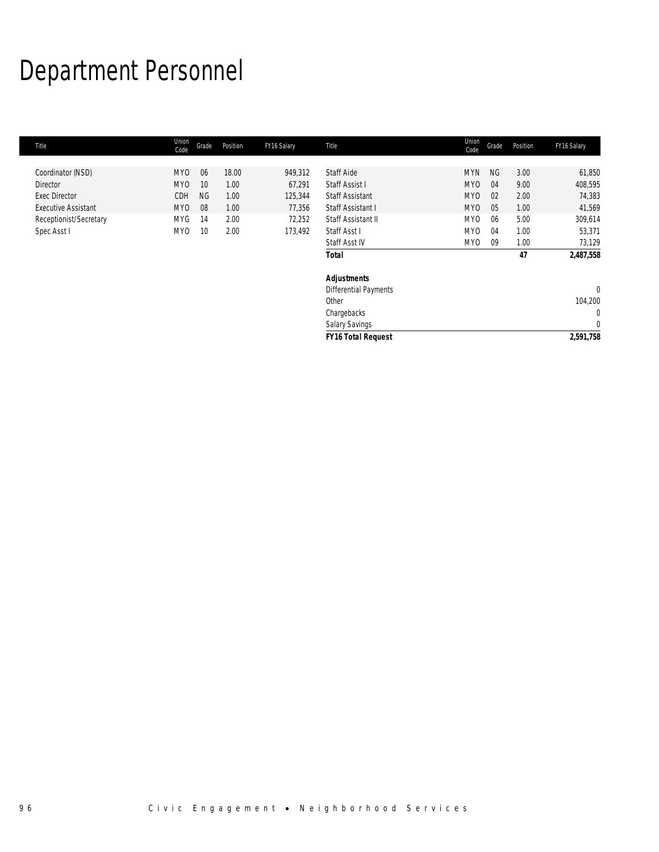# Department Personnel

| Title                      | Union<br>Code   | Grade     | Position | FY16 Salary | Title                     | Union<br>Code   | Grade     | Position | FY16 Salary |
|----------------------------|-----------------|-----------|----------|-------------|---------------------------|-----------------|-----------|----------|-------------|
|                            |                 |           |          |             |                           |                 |           |          |             |
| Coordinator (NSD)          | MY <sub>0</sub> | 06        | 18.00    | 949,312     | <b>Staff Aide</b>         | <b>MYN</b>      | <b>NG</b> | 3.00     | 61,850      |
| Director                   | MY <sub>0</sub> | 10        | 1.00     | 67,291      | Staff Assist I            | MY <sub>0</sub> | 04        | 9.00     | 408,595     |
| <b>Exec Director</b>       | CDH             | <b>NG</b> | 1.00     | 125,344     | <b>Staff Assistant</b>    | MY <sub>0</sub> | 02        | 2.00     | 74,383      |
| <b>Executive Assistant</b> | MY0             | 08        | 1.00     | 77,356      | Staff Assistant I         | MY <sub>0</sub> | 05        | 1.00     | 41,569      |
| Receptionist/Secretary     | <b>MYG</b>      | 14        | 2.00     | 72,252      | Staff Assistant II        | MY <sub>0</sub> | 06        | 5.00     | 309,614     |
| Spec Asst I                | MY0             | 10        | 2.00     | 173,492     | Staff Asst I              | MY <sub>0</sub> | 04        | 1.00     | 53,371      |
|                            |                 |           |          |             | Staff Asst IV             | MY0             | 09        | 1.00     | 73,129      |
|                            |                 |           |          |             | <b>Total</b>              |                 |           | 47       | 2,487,558   |
|                            |                 |           |          |             | <b>Adjustments</b>        |                 |           |          |             |
|                            |                 |           |          |             | Differential Payments     |                 |           |          | $\mathbf 0$ |
|                            |                 |           |          |             | Other                     |                 |           |          | 104,200     |
|                            |                 |           |          |             | Chargebacks               |                 |           |          | $\mathbf 0$ |
|                            |                 |           |          |             | Salary Savings            |                 |           |          | $\mathbf 0$ |
|                            |                 |           |          |             | <b>FY16 Total Request</b> |                 |           |          | 2,591,758   |
|                            |                 |           |          |             |                           |                 |           |          |             |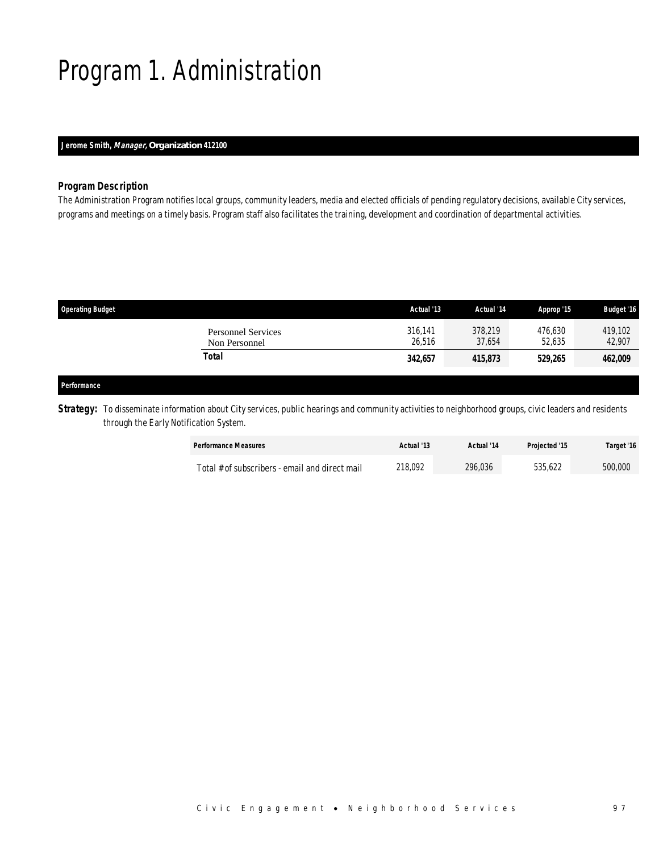## Program 1. Administration

### *Jerome Smith, Manager, Organization 412100*

### *Program Description*

The Administration Program notifies local groups, community leaders, media and elected officials of pending regulatory decisions, available City services, programs and meetings on a timely basis. Program staff also facilitates the training, development and coordination of departmental activities.

| <b>Operating Budget</b>                    | Actual '13        | Actual '14        | Approp '15        | <b>Budget '16</b> |
|--------------------------------------------|-------------------|-------------------|-------------------|-------------------|
| <b>Personnel Services</b><br>Non Personnel | 316.141<br>26,516 | 378.219<br>37.654 | 476,630<br>52.635 | 419,102<br>42,907 |
| Total                                      | 342,657           | 415,873           | 529,265           | 462,009           |
|                                            |                   |                   |                   |                   |

#### *Performance*

**Strategy:** To disseminate information about City services, public hearings and community activities to neighborhood groups, civic leaders and residents through the Early Notification System.

| <b>Performance Measures</b>                    | Actual '13 | Actual '14 | <b>Projected '15</b> | Target '16 |
|------------------------------------------------|------------|------------|----------------------|------------|
| Total # of subscribers - email and direct mail | 218.092    | 296.036    | 535.622              | 500,000    |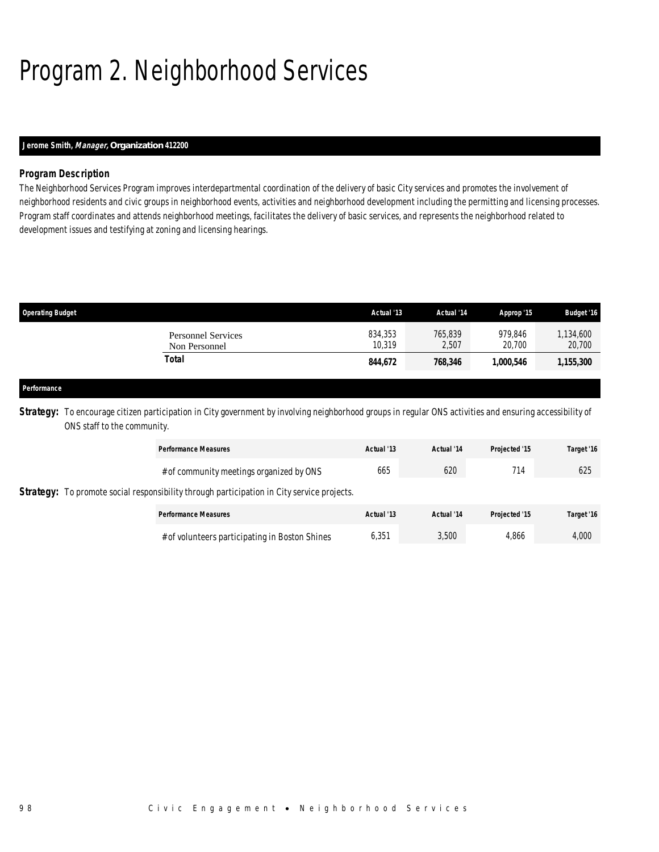# Program 2. Neighborhood Services

## *Jerome Smith, Manager, Organization 412200*

### *Program Description*

The Neighborhood Services Program improves interdepartmental coordination of the delivery of basic City services and promotes the involvement of neighborhood residents and civic groups in neighborhood events, activities and neighborhood development including the permitting and licensing processes. Program staff coordinates and attends neighborhood meetings, facilitates the delivery of basic services, and represents the neighborhood related to development issues and testifying at zoning and licensing hearings.

| <b>Operating Budget</b>                    | Actual '13        | Actual '14       | Approp '15        | <b>Budget '16</b>  |
|--------------------------------------------|-------------------|------------------|-------------------|--------------------|
| <b>Personnel Services</b><br>Non Personnel | 834,353<br>10.319 | 765,839<br>2.507 | 979.846<br>20.700 | ,134,600<br>20,700 |
| Total                                      | 844,672           | 768,346          | 1,000,546         | 1,155,300          |
|                                            |                   |                  |                   |                    |

#### *Performance*

**Strategy:** To encourage citizen participation in City government by involving neighborhood groups in regular ONS activities and ensuring accessibility of ONS staff to the community.

|  | <b>Performance Measures</b>                                                                                                                   | Actual '13 | Actual '14 | Projected '15 | Target '16 |
|--|-----------------------------------------------------------------------------------------------------------------------------------------------|------------|------------|---------------|------------|
|  | # of community meetings organized by ONS<br><b>Strategy:</b> To promote social responsibility through participation in City service projects. | 665        | 620        | 714           | 625        |
|  | <b>Performance Measures</b>                                                                                                                   | Actual '13 | Actual '14 | Projected '15 | Target '16 |
|  | # of volunteers participating in Boston Shines                                                                                                | 6,351      | 3,500      | 4.866         | 4,000      |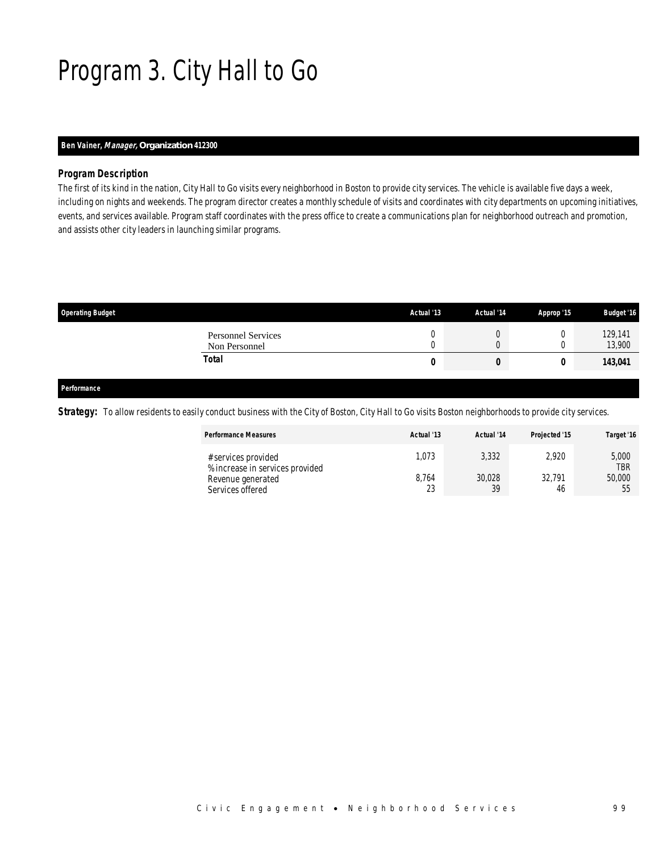## Program 3. City Hall to Go

### *Ben Vainer, Manager, Organization 412300*

#### *Program Description*

The first of its kind in the nation, City Hall to Go visits every neighborhood in Boston to provide city services. The vehicle is available five days a week, including on nights and weekends. The program director creates a monthly schedule of visits and coordinates with city departments on upcoming initiatives, events, and services available. Program staff coordinates with the press office to create a communications plan for neighborhood outreach and promotion, and assists other city leaders in launching similar programs.

| <b>Operating Budget</b>                    | Actual '13 | Actual '14 | Approp '15 | <b>Budget '16</b> |
|--------------------------------------------|------------|------------|------------|-------------------|
| <b>Personnel Services</b><br>Non Personnel |            |            |            | 129,141<br>13,900 |
| <b>Total</b>                               | 0          | U          |            | 143,041           |
|                                            |            |            |            |                   |

#### *Performance*

Strategy: To allow residents to easily conduct business with the City of Boston, City Hall to Go visits Boston neighborhoods to provide city services.

| <b>Performance Measures</b>                                                 | Actual '13    | Actual '14      | Projected '15   | Target '16                    |
|-----------------------------------------------------------------------------|---------------|-----------------|-----------------|-------------------------------|
| # services provided<br>% increase in services provided<br>Revenue generated | .073<br>8.764 | 3,332<br>30,028 | 2.920<br>32.791 | 5,000<br><b>TBR</b><br>50,000 |
| Services offered                                                            | 23            | 39              | 46              | 55                            |